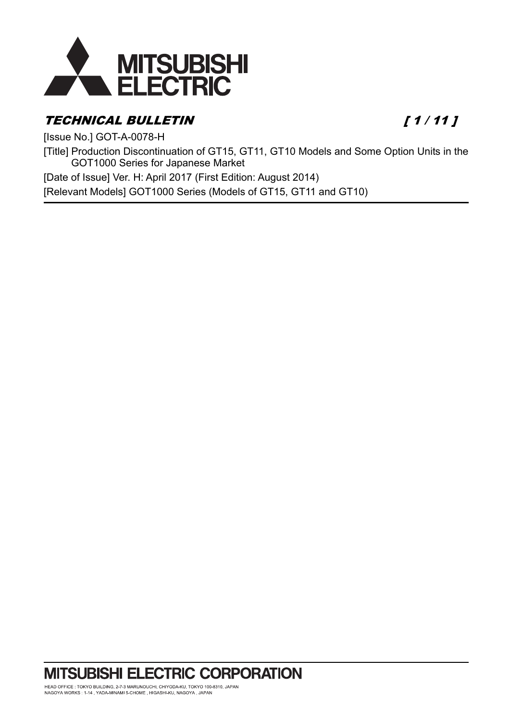

## TECHNICAL BULLETIN [1/11]

[Issue No.] GOT-A-0078-H

[Title] Production Discontinuation of GT15, GT11, GT10 Models and Some Option Units in the GOT1000 Series for Japanese Market

[Date of Issue] Ver. H: April 2017 (First Edition: August 2014)

[Relevant Models] GOT1000 Series (Models of GT15, GT11 and GT10)

# **MITSUBISHI ELECTRIC CORPORATION**

HEAD OFFICE : TOKYO BUILDING, 2-7-3 MARUNOUCHI, CHIYODA-KU, TOKYO 100-8310, JAPAN NAGOYA WORKS: 1-14, YADA-MINAMI 5-CHOME, HIGASHI-KU, NAGOYA , JAPAN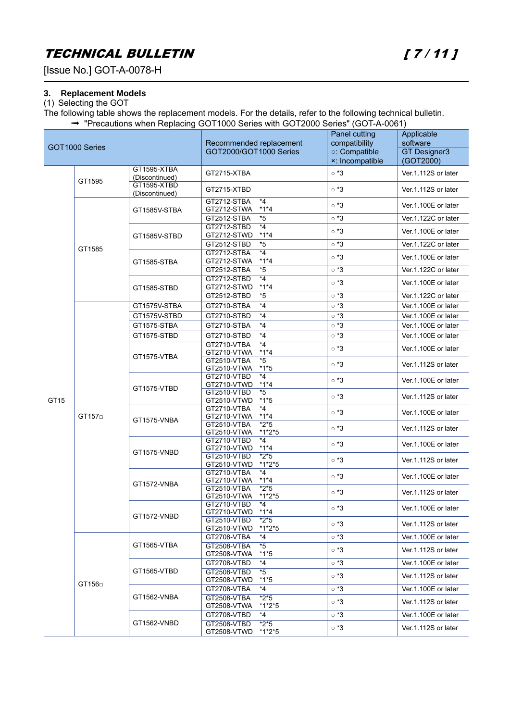### **3. Replacement Models**

#### (1) Selecting the GOT

The following table shows the replacement models. For the details, refer to the following technical bulletin.

| → "Precautions when Replacing GOT1000 Series with GOT2000 Series" (GOT-A-0061) |  |
|--------------------------------------------------------------------------------|--|
|--------------------------------------------------------------------------------|--|

| GOT1000 Series |                    |                               | Recommended replacement<br>GOT2000/GOT1000 Series |                   | Panel cutting<br>compatibility<br>o: Compatible | Applicable<br>software<br><b>GT Designer3</b> |
|----------------|--------------------|-------------------------------|---------------------------------------------------|-------------------|-------------------------------------------------|-----------------------------------------------|
|                |                    |                               |                                                   |                   | ×: Incompatible                                 | (GOT2000)                                     |
|                | GT1595             | GT1595-XTBA<br>(Discontinued) | GT2715-XTBA                                       |                   | $\circ$ *3                                      | Ver.1.112S or later                           |
|                |                    | GT1595-XTBD<br>(Discontinued) | GT2715-XTBD                                       |                   | $\circ$ *3                                      | Ver.1.112S or later                           |
|                | GT1585             | GT1585V-STBA                  | GT2712-STBA<br>GT2712-STWA                        | *4<br>$*1*4$      | $\circ$ *3                                      | Ver.1.100E or later                           |
|                |                    |                               | GT2512-STBA                                       | $*5$              | $\circ$ *3                                      | Ver.1.122C or later                           |
|                |                    | GT1585V-STBD                  | GT2712-STBD                                       | $*_{4}$           |                                                 |                                               |
|                |                    |                               | GT2712-STWD                                       | $*1*4$            | $\circ$ *3                                      | Ver.1.100E or later                           |
|                |                    |                               | GT2512-STBD                                       | $*5$              | $\circ$ *3                                      | Ver.1.122C or later                           |
|                |                    | GT1585-STBA                   | GT2712-STBA                                       | *4                | $\circ$ *3                                      | Ver.1.100E or later                           |
|                |                    |                               | GT2712-STWA                                       | $*1*4$            |                                                 |                                               |
|                |                    |                               | GT2512-STBA                                       | $*5$              | $\circ$ *3                                      | Ver.1.122C or later                           |
|                |                    |                               | GT2712-STBD                                       | $*_{4}$<br>$*1*4$ | $\circ$ *3                                      | Ver.1.100E or later                           |
|                |                    | GT1585-STBD                   | GT2712-STWD<br>GT2512-STBD                        | $*5$              | $\circ$ *3                                      | Ver.1.122C or later                           |
|                |                    |                               |                                                   | $*_{4}$           | $\circ$ *3                                      |                                               |
|                |                    | GT1575V-STBA                  | GT2710-STBA                                       |                   |                                                 | Ver.1.100E or later                           |
|                |                    | GT1575V-STBD                  | GT2710-STBD                                       | $*_{4}$           | $\circ$ *3                                      | Ver.1.100E or later                           |
|                |                    | GT1575-STBA                   | GT2710-STBA                                       | $*_{4}$           | $\circ$ *3                                      | Ver.1.100E or later                           |
|                |                    | GT1575-STBD                   | GT2710-STBD                                       | $*_{4}$           | $\circ$ *3                                      | Ver.1.100E or later                           |
|                |                    | GT1575-VTBA                   | GT2710-VTBA                                       | $*_{4}$           | $\circ$ *3                                      | Ver.1.100E or later                           |
|                |                    |                               | GT2710-VTWA<br>GT2510-VTBA                        | $*1*4$<br>*5      |                                                 |                                               |
|                |                    |                               | GT2510-VTWA                                       | $*1*5$            | $\circ$ *3                                      | Ver.1.112S or later                           |
|                |                    |                               | GT2710-VTBD                                       | *4                |                                                 |                                               |
|                | GT157 <sub>□</sub> | GT1575-VTBD                   | GT2710-VTWD                                       | $*1*4$            | $\circ$ *3                                      | Ver.1.100E or later                           |
|                |                    |                               | GT2510-VTBD                                       | $*5$              | $\circ$ *3                                      | Ver.1.112S or later                           |
| GT15           |                    |                               | GT2510-VTWD                                       | $*1*5$            |                                                 |                                               |
|                |                    | GT1575-VNBA                   | GT2710-VTBA<br>GT2710-VTWA                        | $*_{4}$<br>$*1*4$ | $\circ$ *3                                      | Ver.1.100E or later                           |
|                |                    |                               | GT2510-VTBA                                       | $*2*5$            |                                                 |                                               |
|                |                    |                               | GT2510-VTWA                                       | *1*2*5            | $\circ$ *3                                      | Ver.1.112S or later                           |
|                |                    | GT1575-VNBD                   | GT2710-VTBD                                       | *4                | $\circ$ *3                                      | Ver.1.100E or later                           |
|                |                    |                               | GT2710-VTWD                                       | $*1*4$            |                                                 |                                               |
|                |                    |                               | GT2510-VTBD<br>GT2510-VTWD                        | $*2*5$<br>*1*2*5  | $\circ$ *3                                      | Ver.1.112S or later                           |
|                |                    |                               | GT2710-VTBA                                       | *4                |                                                 |                                               |
|                |                    | GT1572-VNBA                   | GT2710-VTWA                                       | *1*4              | $\circ$ *3                                      | Ver.1.100E or later                           |
|                |                    |                               | GT2510-VTBA                                       | $*2*5$            | $\circ$ *3                                      | Ver.1.112S or later                           |
|                |                    |                               | GT2510-VTWA                                       | *1*2*5            |                                                 |                                               |
|                |                    | GT1572-VNBD                   | GT2710-VTBD                                       | *4                | $\circ$ *3                                      | Ver.1.100E or later                           |
|                |                    |                               | GT2710-VTWD<br>GT2510-VTBD                        | $*1*4$<br>*2*5    |                                                 |                                               |
|                |                    |                               | GT2510-VTWD                                       | *1*2*5            | ∘ *3                                            | Ver. 1.112S or later                          |
|                |                    | GT1565-VTBA                   | GT2708-VTBA                                       | *4                | $\circ$ *3                                      | Ver. 1.100E or later                          |
|                |                    |                               | GT2508-VTBA                                       | *5                |                                                 |                                               |
|                |                    |                               | GT2508-VTWA                                       | *1*5              | $\circ$ *3                                      | Ver.1.112S or later                           |
|                | GT156 <sub>D</sub> | GT1565-VTBD                   | GT2708-VTBD                                       | $*_{4}$           | $\circ$ *3                                      | Ver. 1.100E or later                          |
|                |                    |                               | GT2508-VTBD                                       | *5                | $\circ$ *3                                      | Ver.1.112S or later                           |
|                |                    |                               | GT2508-VTWD                                       | *1*5              |                                                 |                                               |
|                |                    | GT1562-VNBA                   | GT2708-VTBA                                       | *4                | ∘ *3                                            | Ver. 1.100E or later                          |
|                |                    |                               | GT2508-VTBA<br>GT2508-VTWA                        | $*2*5$<br>*1*2*5  | $\circ$ *3                                      | Ver.1.112S or later                           |
|                |                    | GT1562-VNBD                   | GT2708-VTBD                                       | *4                | $\circ$ *3                                      | Ver. 1.100E or later                          |
|                |                    |                               | GT2508-VTBD                                       | $*2*5$            |                                                 |                                               |
|                |                    |                               | GT2508-VTWD                                       | *1*2*5            | $\circ$ *3                                      | Ver. 1.112S or later                          |